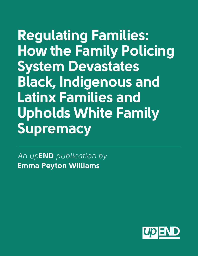**Regulating Families: How the Family Policing System Devastates Black, Indigenous and Latinx Families and Upholds White Family Supremacy**

*An up***END** *publication by*  **Emma Peyton Williams**

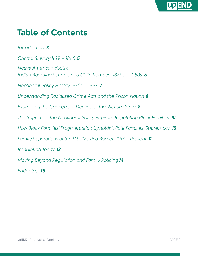

#### **Table of Contents**

*Introduction 3*

*Chattel Slavery 1619 – 1865 5*

*Native American Youth: Indian Boarding Schools and Child Removal 1880s – 1950s 6*

*Neoliberal Policy History 1970s – 1997 7*

*Understanding Racialized Crime Acts and the Prison Nation 8*

*Examining the Concurrent Decline of the Welfare State 8*

*The Impacts of the Neoliberal Policy Regime: Regulating Black Families 10*

*How Black Families' Fragmentation Upholds White Families' Supremacy 10*

*Family Separations at the U.S./Mexico Border 2017 – Present 11* 

*Regulation Today 12*

*Moving Beyond Regulation and Family Policing 14*

*Endnotes 15*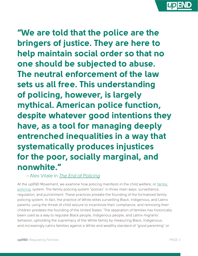**"We are told that the police are the bringers of justice. They are here to help maintain social order so that no one should be subjected to abuse. The neutral enforcement of the law sets us all free. This understanding of policing, however, is largely mythical. American police function, despite whatever good intentions they have, as a tool for managing deeply entrenched inequalities in a way that systematically produces injustices for the poor, socially marginal, and nonwhite."**

 *–* Alex Vitale in *[The End of Policing](https://www.versobooks.com/books/2426-the-end-of-policing)*

At the upEND Movement, we examine how policing manifests in the child welfare, or family [policing,](https://upendmovement.org/family-policing-definition/) system. The family policing system "polices" in three main ways: surveillance, regulation, and punishment. These practices predate the founding of the formalized family policing system. In fact, the practice of White elites surveilling Black, Indigenous, and Latinx parents, using the threat of child seizure to incentivize their compliance, and removing their children predates the founding of the United States.<sup>1</sup> The separation of families has historically been used as a way to regulate Black people, Indigenous people, and Latinx migrants' behavior, upholding the supremacy of the White family by measuring Black, Indigenous, and increasingly Latinx families against a White and wealthy standard of "good parenting" or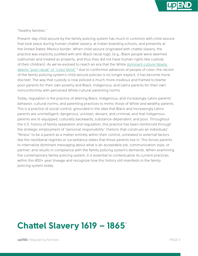

"healthy families."

Present-day child seizure by the family policing system has much in common with child seizure that took place during human chattel slavery, at Indian boarding schools, and presently at the United States-Mexico border. When child seizure originated with chattel slavery, the practice was explicitly justified with anti-Black racial logic (e.g., Black people were deemed subhuman and treated as property, and thus they did not have human rights like custody of their children). As we've evolved to reach an era that the White [dominant culture falsely](https://www.naacpldf.org/wp-content/uploads/Post-Racial-America-Not-Yet_Political_Participation.pdf)  [deems "post-racial" or "color blind"](https://www.naacpldf.org/wp-content/uploads/Post-Racial-America-Not-Yet_Political_Participation.pdf) <sup>2</sup> due to conformist advances of people of color, the racism of the family policing system's child seizure policies is no longer explicit, it has become more discreet. The way that custody is now policed is much more insidious and framed to blame poor parents for their own poverty and Black, Indigenous, and Latinx parents for their own nonconformity with perceived White cultural parenting norms.

Today, regulation is the practice of altering Black, Indigenous, and increasingly Latinx parents' behavior, cultural norms, and parenting practices to mimic those of White and wealthy parents. This is a practice of social control, grounded in the idea that Black and increasingly Latinx parents are unintelligent, dangerous, unclean, deviant, and criminal, and that Indigenous parents are ill-equipped, culturally backwards, substance-dependent, and poor. Throughout the U.S. history of family separation and regulation, this practice has been reinforced through the strategic employment of "personal responsibility" rhetoric that construes an individuals' "fitness" to be a parent as a matter entirely within their control, unrelated to external factors like the neoliberal regimes or surveillance states that those parents live in. This forces parents to internalize dominant messaging about what is an acceptable job, communication style, or partner, and results in compliance with the family policing system's demands. When examining the contemporary family policing system, it is essential to contextualize its current practices within this 400+ year lineage and recognize how this history still manifests in the family policing system today.

#### **Chattel Slavery 1619 – 1865**³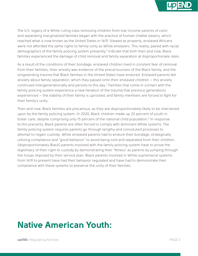

The U.S. legacy of a White ruling class removing children from low-income parents of color and separating marginalized families began with the practice of human chattel slavery, which reached what is now known as the United States in 1619. Viewed as property, enslaved Africans were not afforded the same rights to family unity as White enslavers. This reality, paired with racial demographics of the family policing system presently,<sup>4</sup> indicate that both then and now, Black families experienced the damage of child removal and family separation at disproportionate rates.

As a result of the conditions of their bondage, enslaved children lived in constant fear of removal from their families; their anxiety was evidence of the precariousness of the Black family, and the longstanding trauma that Black families in the United States have endured. Enslaved parents felt anxiety about family separation, which they passed onto their enslaved children – this anxiety continued intergenerationally and persists to this day.<sup>5</sup> Families that come in contact with the family policing system experience a new iteration of the trauma that previous generations experienced – the stability of their family is uprooted, and family members are forced to fight for their family's unity.

Then and now, Black families are precarious, as they are disproportionately likely to be intervened upon by the family policing system. In 2020, Black children made up 25 percent of youth in foster care, despite comprising only 15 percent of the national child population.<sup>6</sup> In response to this precarity, Black parents are often forced to comply with dominant White systems. The family policing system requires parents go through lengthy and convoluted processes to attempt to regain custody. While enslaved parents had to endure their bondage, strategically utilizing compliance and "good behavior" to avoid being sold and separated from their children, (disproportionately Black) parents involved with the family policing system have to prove the legitimacy of their right to custody by demonstrating their "fitness" as parents by jumping through the hoops imposed by their service plan. Black parents involved in White supremacist systems from 1619 to present have had their behavior regulated and have had to demonstrate their compliance with these systems to preserve the unity of their families.

#### **Native American Youth:**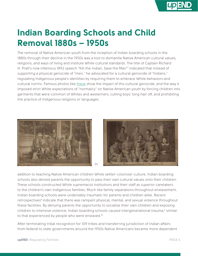

## **Indian Boarding Schools and Child Removal 1880s – 1950s**

The removal of Native American youth from the inception of Indian boarding schools in the 1880s through their decline in the 1950s was a tool to dismantle Native American cultural values, religions, and ways of living and institute White cultural standards. The title of Captain Richard H. Pratt's now infamous 1892 speech "Kill the Indian, Save the Man"7 indicated that instead of supporting a physical genocide of "men," he advocated for a cultural genocide of "Indians," regulating Indigenous people's identities by requiring them to embrace White behaviors and cultural norms. Famous photos like [these](https://carlisleindian.dickinson.edu/teach/analyzing-and-after-photographs-exploring-student-files) show the impact of this cultural genocide, and the way it imposed strict White expectations of "normalcy" on Native American youth by forcing children into garments that were common of Whites and westerners, cutting boys' long hair off, and prohibiting the practice of Indigenous religions or languages.





addition to teaching Native American children White settler-colonizer culture, Indian boarding schools also denied parents the opportunity to pass their own cultural values onto their children. These schools constructed White supremacist institutions and their staff as superior caretakers to the children's own Indigenous families. Much like family separations throughout enslavement, Indian boarding schools were undeniably traumatic for parents and children alike. Recent retrospectives<sup>8</sup> indicate that there was rampant physical, mental, and sexual violence throughout these facilities. By denying parents the opportunity to socialize their own children and exposing children to intensive violence, Indian boarding schools caused intergenerational trauma,<sup>9</sup> similar to that experienced by people who were enslaved.<sup>10</sup>

After terminating tribal recognition for 109 tribes and transferring jurisdiction of Indian affairs from federal to state governments around the 1950s Native Americans became more dependent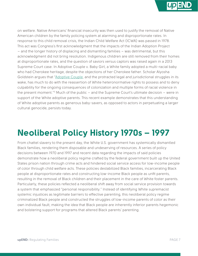

on welfare. Native Americans' financial insecurity was then used to justify the removal of Native American children by the family policing system at alarming and disproportionate rates. In response to this child removal crisis, the Indian Child Welfare Act (ICWA) was passed in 1978. This act was Congress's first acknowledgment that the impacts of the Indian Adoption Project – and the longer history of displacing and dismantling families – was detrimental, but this acknowledgment did not bring resolution. Indigenous children are still removed from their homes at disproportionate rates, and the question of saviors versus captors was raised again in a 2013 Supreme Court case. In Adoptive Couple v. Baby Girl, a White family adopted a multi-racial baby who had Cherokee heritage, despite the objections of her Cherokee father. Scholar Alyosha Goldstein argues that ["Adoptive Couple](https://www.jstor.org/stable/43823185?seq=1), and the protracted legal and jurisdictional struggles in its wake, has much to do with the reassertion of White heteronormative rights to possess and to deny culpability for the ongoing consequences of colonization and multiple forms of racial violence in the present moment." $\frac{1}{10}$  Much of the public – and the Supreme Court's ultimate decision – were in support of the White adoptive parents. This recent example demonstrates that this understanding of White adoptive parents as generous baby-savers, as opposed to actors in perpetuating a larger cultural genocide, persists today.

### **Neoliberal Policy History 1970s – 1997**

From chattel slavery to the present day, the White U.S. government has systemically dismantled Black families, rendering them disposable and undeserving of resources. A series of policy decisions between 1970 and 1997 and recent data regarding the impacts of said policies demonstrate how a neoliberal policy regime crafted by the federal government built up the United States prison nation through crime acts and hindered social service access for low-income people of color through child welfare acts. These policies destabilized Black families, incarcerating Black people at disproportionate rates and constructing low-income Black people as unfit parents, resulting in the removal of Black children and their placement in the care of White foster parents. Particularly, these policies reflected a neoliberal shift away from social service provision towards a system that emphasized "personal responsibility." Instead of identifying White supremacist systemic injustices as legitimate barriers to effective parenting, this neoliberal policy regime criminalized Black people and constructed the struggles of low-income parents of color as their own individual fault, making the idea that Black people are inherently inferior parents hegemonic and bolstering support for programs that altered Black parents' parenting.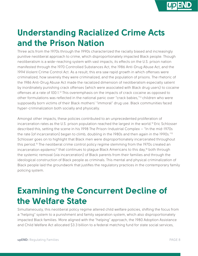

# **Understanding Racialized Crime Acts and the Prison Nation**

Three acts from the 1970s through the 1990s characterized the racially biased and increasingly punitive neoliberal approach to crime, which disproportionately impacted Black people. Though neoliberalism is a wide-reaching system with vast impacts, its effects on the U.S. prison nation manifested through the 1970 Controlled Substances Act, the 1986 Anti-Drug Abuse Act, and the 1994 Violent Crime Control Act. As a result, this era saw rapid growth in which offenses were criminalized, how severely they were criminalized, and the population of prisons. The rhetoric of the 1986 Anti-Drug Abuse Act made the racialized dimension of neoliberalism especially salient by inordinately punishing crack offenses (which were associated with Black drug users) to cocaine offenses at a rate of 100:1.<sup>12</sup> This overemphasis on the impacts of crack cocaine as opposed to other formulations was reflected in the national panic over "crack babies,"13 children who were supposedly born victims of their Black mothers' "immoral" drug use. Black communities faced hyper-criminalization both socially and physically.

Amongst other impacts, these policies contributed to an unprecedented proliferation of incarceration rates as the U.S. prison population reached the largest in the world.14 Eric Schlosser described this, setting the scene in his 1998 The Prison-Industrial Complex – "In the mid-1970s the rate [of incarceration] began to climb, doubling in the 1980s and then again in the 1990s."<sup>15</sup> Schlosser goes on to highlight that Black men were disproportionately incarcerated throughout this period.<sup>16</sup> The neoliberal crime control policy regime stemming from the 1970s created an incarceration epidemic<sup>17</sup> that continues to plague Black Americans to this day,<sup>18</sup> both through the systemic removal (via incarceration) of Black parents from their families and through the ideological construction of Black people as criminals. This mental and physical criminalization of Black people laid the groundwork that justifies the regulatory practices in the contemporary family policing system.

## **Examining the Concurrent Decline of the Welfare State**

Simultaneously, this neoliberal policy regime altered child welfare policies, shifting the focus from a "helping" system to a punishment and family separation system, which also disproportionately impacted Black families. More aligned with the "helping" approach, the 1980 Adoption Assistance and Child Welfare Act allocated \$3.3 billion to a federal matching fund for state social services,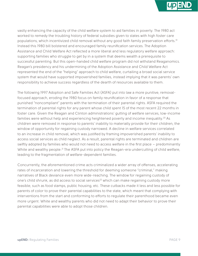

vastly enhancing the capacity of the child welfare system to aid families in poverty. The 1980 act worked to remedy the troubling history of federal subsidies given to states with high foster care populations, which incentivized child removal without any good faith family preservation efforts.19 Instead this 1980 bill bolstered and encouraged family reunification services. The Adoption Assistance and Child Welfare Act reflected a more liberal and less regulatory welfare approach: supporting families who struggle to get by in a system that deems wealth a prerequisite to successful parenting. But this open-handed child welfare program did not withstand Reaganomics. Reagan's presidency and his undermining of the Adoption Assistance and Child Welfare Act represented the end of the "helping" approach to child welfare, curtailing a broad social service system that would have supported impoverished families, instead implying that it was parents' own responsibility to achieve success regardless of the dearth of resources available to them.

The following 1997 Adoption and Safe Families Act (ASFA) put into law a more punitive, removalfocused approach, eroding the 1980 focus on family reunification in favor of a response that punished "noncompliant" parents with the termination of their parental rights. ASFA required the termination of parental rights for any parent whose child spent 15 of the most recent 22 months in foster care. Given the Reagan and Clinton administrations' gutting of welfare services, low-income families were without help and experiencing heightened poverty and income inequality.<sup>20</sup> As children were removed in response to parents' inability to materially provide for their children, the window of opportunity for regaining custody narrowed. A decline in welfare services correlated to an increase in child removal, which was justified by framing impoverished parents' inability to access social services as child neglect. As a result, parental rights are terminated and children are swiftly adopted by families who would not need to access welfare in the first place – predominantly White and wealthy people.<sup>21</sup> The ASFA put into policy the Reagan-era undercutting of child welfare, leading to the fragmentation of welfare-dependent families.

Concurrently, the aforementioned crime acts criminalized a wider array of offenses, accelerating rates of incarceration and lowering the threshold for deeming someone "criminal," making narratives of Black deviance even more wide-reaching. The window for regaining custody of one's child shrunk, as did access to social services<sup>22</sup> which can make regaining custody more feasible, such as food stamps, public housing, etc. These cutbacks made it less and less possible for parents of color to prove their parental capabilities to the state, which meant that complying with interventions from the start and conforming to efforts to regulate their parenthood became even more urgent. White and wealthy parents who did not need to adapt their behavior to prove their parental capabilities were able to adopt those children.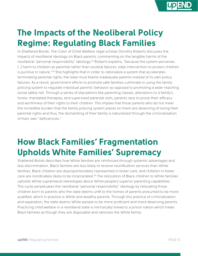

# **The Impacts of the Neoliberal Policy Regime: Regulating Black Families**

In Shattered Bonds: The Color of Child Welfare, legal scholar Dorothy Roberts discusses the impacts of neoliberal ideology on Black parents, commenting on the tangible harms of the neoliberal "personal responsibility" ideology.23 Roberts explains, "because the system perceives [...] harm to children as parental rather than societal failures, state intervention to protect children is punitive in nature."<sup>24</sup> She highlights that in order to rationalize a system that accelerates terminating parental rights, the state must blame inadequate parents instead of its own policy failures. As a result, government efforts to promote safe families culminate in using the family policing system to regulate individual parents' behavior as opposed to promoting a wide-reaching social safety net. Through a series of stipulations like parenting classes, alterations to a family's home, mandated therapies, and supervised parental visits, parents race to prove their efficacy and worthiness of their rights to their children. This implies that those parents who do not meet the incredible burden that the family policing system places on them are deserving of losing their parental rights and thus, the dismantling of their family is naturalized through the criminalization of their own "deficiencies."

### **How Black Families' Fragmentation Upholds White Families' Supremacy**

Shattered Bonds describes how White families are reinforced through systemic advantages and less discrimination. Black families are less likely to receive reunification services than White families, Black children are disproportionately represented in foster care, and children in foster care are inordinately likely to be incarcerated.<sup>25</sup> The relocation of Black children to White families upholds White supremacist stereotypes about White people's superior parenting capabilities. This cycle perpetuates the neoliberal "personal responsibility" ideology by relocating those children born to parents who the state deems unfit to the homes of parents presumed to be more qualified, which in practice is White and wealthy parents. Through this practice of criminalization and separation, the state deems White people to be more proficient and more deserving parents. Practicing child welfare in a neoliberal state is intrinsically linked to a prison nation which treats Black families as though they are disposable and valorizes the White family.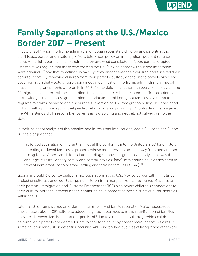

# **Family Separations at the U.S./Mexico Border 2017 – Present**

In July of 2017, when the Trump administration began separating children and parents at the U.S./Mexico border and instituting a "zero tolerance" policy on immigration, public discourse about what rights parents had to their children and what constituted a "good parent" erupted. Conservatives argued that those who crossed the U.S./Mexico border without documentation were criminals,<sup>26</sup> and that by acting "unlawfully" they endangered their children and forfeited their parental rights. By removing children from their parents' custody and failing to provide any clear documentation that would ensure their smooth reunification, the Trump administration implied that Latinx migrant parents were unfit. In 2018, Trump defended his family separation policy, stating "if [migrants] feel there will be separation, they don't come."27 In this statement, Trump patently acknowledges that he is using separation of undocumented immigrant families as a threat to regulate migrants' behavior and discourage subversion of U.S. immigration policy. This goes handin-hand with racist messaging that painted Latinx migrants as criminal, $28$  contrasting them against the White standard of "responsible" parents as law-abiding and neutral, not subversive, to the state.

In their poignant analysis of this practice and its resultant implications, Adela C. Licona and Eithne Luibhéid argued that:

The forced separation of migrant families at the border fits into the United States' long history of treating enslaved families as property whose members can be sold away from one another; forcing Native American children into boarding schools designed to violently strip away their language, culture, identity, family and community ties; [and] immigration policies designed to prevent immigrants of color from settling and forming families (45-46).<sup>29</sup>

Licona and Luibhéid contextualize family separations at the U.S./Mexico border within this larger project of cultural genocide. By stripping children from marginalized backgrounds of access to their parents, Immigration and Customs Enforcement (ICE) also severs children's connections to their cultural heritage, preventing the continued development of these distinct cultural identities within the U.S.

Later in 2018, Trump signed an order halting his policy of family separation<sup>30</sup> after widespread public outcry about ICE's failure to adequately track detainees to make reunification of families possible. However, family separations persisted<sup>31</sup> due to a technicality through which children can be removed if parents are deemed "unfit to care for a child" by border patrol agents. As a result, some children languish in detention facilities with substandard qualities of living,<sup>32</sup> and others are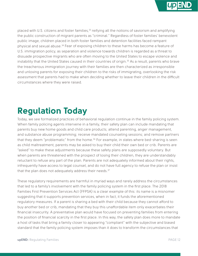

placed with U.S. citizens and foster families,<sup>33</sup> reifying all the notions of saviorism and amplifying the public construction of migrant parents as "criminal." Regardless of foster families' benevolent public image, children placed in both foster families and detention facilities faced rampant physical and sexual abuse.<sup>34</sup> Fear of exposing children to these harms has become a feature of U.S. immigration policy, as separation and violence towards children is regarded as a threat to dissuade prospective migrants who are often moving to the United States to escape violence and instability that the United States caused in their countries of origin.<sup>35</sup> As a result, parents who brave the treacherous immigration journey with their families are then characterized as irresponsible and unloving parents for exposing their children to the risks of immigrating, overlooking the risk assessment that parents had to make when deciding whether to leave their children in the difficult circumstances where they were raised.

## **Regulation Today**

Today, we see formalized practices of behavioral regulation continue in the family policing system. When family policing agents intervene in a family, their safety plan can include mandating that parents buy new home goods and child care products; attend parenting, anger management, and substance abuse programming; receive mandated counseling sessions; and remove partners that they deem "problematic" from the home.<sup>36</sup> For example, in states where bed-sharing is seen as child maltreatment, parents may be asked to buy their child their own bed or crib. Parents are "asked" to make these adjustments because these safety plans are supposedly voluntary. But when parents are threatened with the prospect of losing their children, they are understandably reluctant to refuse any part of the plan. Parents are not adequately informed about their rights, infrequently have access to legal counsel, and do not have full agency to refuse the plan or insist that the plan does not adequately address their needs.<sup>37</sup>

These regulatory requirements are harmful in myriad ways and rarely address the circumstances that led to a family's involvement with the family policing system in the first place. The 2018 Families First Prevention Services Act (FFPSA) is a clear example of this: its name is a misnomer suggesting that it supports prevention services, when in fact, it funds the aforementioned regulatory measures. If a parent is sharing a bed with their child because they cannot afford to buy another bed or crib, mandating that they buy this unaffordable item only exacerbates their financial insecurity. A preventative plan would have focused on preventing families from entering the position of financial scarcity in the first place. In this way, the safety plan does more to mandate a host of tasks that bring a family closer to appearing "compliant" with the subjective and biased standard that the family policing system imposes than it does to transform the circumstances that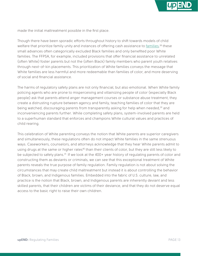

made the initial maltreatment possible in the first place.

Though there have been sporadic efforts throughout history to shift towards models of child welfare that prioritize family unity and instances of offering cash assistance to <u>families</u>,<sup>38</sup> these small advances often categorically excluded Black families and only benefited poor White families. The FFPSA, for example, included provisions that offer financial assistance to unrelated (often White) foster parents but not the (often Black) family members who parent youth relatives through next-of-kin placements. This prioritization of White families conveys the message that White families are less harmful and more redeemable than families of color, and more deserving of social and financial assistance.

The harms of regulatory safety plans are not only financial, but also emotional. When White family policing agents who are prone to misperceiving and villainizing people of color (especially Black people) ask that parents attend anger management courses or substance abuse treatment, they create a distrusting rupture between agency and family, teaching families of color that they are being watched, discouraging parents from transparently asking for help when needed,<sup>39</sup> and inconveniencing parents further. While completing safety plans, system-involved parents are held to a superhuman standard that enforces and champions White cultural values and practices of child rearing.

This celebration of White parenting conveys the notion that White parents are superior caregivers and simultaneously, these regulations often do not impact White families in the same strenuous ways. Caseworkers, counselors, and attorneys acknowledge that they hear White parents admit to using drugs at the same or higher rates<sup>40</sup> than their clients of color, but they are still less likely to be subjected to safety plans.<sup>41-</sup> If we look at the 400+ year history of regulating parents of color and constructing them as deviants or criminals, we can see that this exceptional treatment of White parents reveals the true purpose of family regulation. Family regulation is not about solving the circumstances that may create child maltreatment but instead it is about controlling the behavior of Black, brown, and Indigenous families. Embedded into the fabric of U.S. culture, law, and practice is the notion that Black, brown, and Indigenous parents are inherently deviant and less skilled parents, that their children are victims of their deviance, and that they do not deserve equal access to the basic right to raise their own children.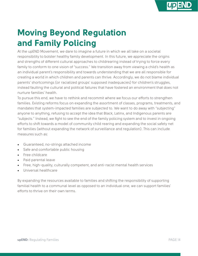

# **Moving Beyond Regulation and Family Policing**

At the upEND Movement, we dare to imagine a future in which we all take on a societal responsibility to bolster healthy family development. In this future, we appreciate the origins and strengths of different cultural approaches to childrearing instead of trying to force every family to conform to one vision of "success." We transition away from viewing a child's health as an individual parent's responsibility and towards understanding that we are all responsible for creating a world in which children and parents can thrive. Accordingly, we do not blame individual parents' shortcomings (or racialized groups' supposed inadequacies) for children's struggles, instead faulting the cultural and political failures that have fostered an environment that does not nurture families' health.

To pursue this end, we have to rethink and recommit where we focus our efforts to strengthen families. Existing reforms focus on expanding the assortment of classes, programs, treatments, and mandates that system-impacted families are subjected to. We want to do away with "subjecting" anyone to anything, refusing to accept the idea that Black, Latinx, and Indigenous parents are "subjects." Instead, we fight to see the end of the family policing system and to invest in ongoing efforts to shift towards a model of community child rearing and expanding the social safety net for families (without expanding the network of surveillance and regulation). This can include measures such as:

- Guaranteed, no-strings attached income
- Safe and comfortable public housing
- Free childcare
- Paid parental leave
- Free, high-quality, culturally competent, and anti-racist mental health services
- Universal healthcare

By expanding the resources available to families and shifting the responsibility of supporting familial health to a communal level as opposed to an individual one, we can support families' efforts to thrive on their own terms.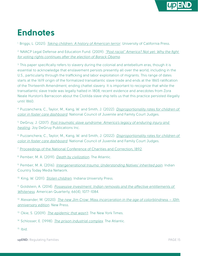

### **Endnotes**

<sup>1.</sup> Briggs, L. (2021). *[Taking children: A history of American terror](https://www.ucpress.edu/book/9780520385771/taking-children)*. University of California Press.

2. NAACP Legal Defense and Education Fund. (2009). *["Post racial" America? Not yet: Why the fight](https://www.naacpldf.org/wp-content/uploads/Post-Racial-America-Not-Yet_Political_Participation.pdf)  [for voting rights continues after the election of Barack Obama](https://www.naacpldf.org/wp-content/uploads/Post-Racial-America-Not-Yet_Political_Participation.pdf)*.

<sup>3.</sup> This paper specifically refers to slavery during the colonial and antebellum eras, though it is essential to acknowledge that enslavement persists presently all over the world, including in the U.S., particularly through the trafficking and labor exploitation of migrants. This range of dates starts at the 1619 origin of the formalized transatlantic slave trade and ends at the 1865 ratification of the Thirteenth Amendment, ending chattel slavery. It is important to recognize that while the transatlantic slave trade was legally halted in 1808, recent evidence and anecdotes from Zora Neale Hurston's Barracoon about the Clotilda slave ship tells us that this practice persisted illegally until 1860.

4. Puzzanchera, C., Taylor, M., Kang, W. and Smith, J. (2022). *[Disproportionality rates for children of](http://ncjj.org/AFCARS/Disproportionality_Dashboard.asp?selDisplay=2)  [color in foster care dashboard](http://ncjj.org/AFCARS/Disproportionality_Dashboard.asp?selDisplay=2)*. National Council of Juvenile and Family Court Judges.

5. DeGruy, J. (2017). *[Post traumatic slave syndrome: America's legacy of enduring injury and](https://www.bethehealing.com/shop)  [healing](https://www.bethehealing.com/shop)*. Joy DeGruy Publications Inc.

6. Puzzanchera, C., Taylor, M., Kang, W. and Smith, J. (2022). *[Disproportionality rates for children of](http://ncjj.org/AFCARS/Disproportionality_Dashboard.asp?selDisplay=2)  [color in foster care dashboard](http://ncjj.org/AFCARS/Disproportionality_Dashboard.asp?selDisplay=2)*. National Council of Juvenile and Family Court Judges.

7. [Proceedings of the National Conference of Charities and Correction, 1892.](https://carlisleindian.dickinson.edu/sites/all/files/docs-resources/CIS-Resources_1892-PrattSpeech.pdf)

8. Pember, M. A. (2019). *[Death by civilization](https://www.theatlantic.com/education/archive/2019/03/traumatic-legacy-indian-boarding-schools/584293/)*. The Atlantic.

9. Pember, M. A. (2016). *[Intergenerational trauma: Understanding Natives' inherited pain](https://www.ncfr.org/system/files/2017-12/The%20Great%20Hurt%20-%20Facing%20the%20Trauma%20of%20Indian%20Boarding%20Schools.pdf)*. Indian Country Today Media Network.

10. King, W. (2011). *[Stolen children](https://iupress.org/9780253222640/stolen-childhood-second-edition/#:~:text=Stolen%20Childhood%20is%20a%20wonderful,strengths%20of%20research%20and%20analysis.&text=King%20provides%20a%20jarring%20snapshot,the%20children%20and%20their%20parents.)*. Indiana University Press.

11. Goldstein, A. (2014). *[Possessive investment: Indian removals and the affective entitlements of](https://www.jstor.org/stable/43823185?seq=1)  [Whiteness](https://www.jstor.org/stable/43823185?seq=1)*. American Quarterly, 66(4), 1077-1084.

12. Alexander, M. (2020). *[The new Jim Crow: Mass incarceration in the age of colorblindness – 10th](https://newjimcrow.com/)  [anniversary edition](https://newjimcrow.com/)*. New Press.

13. Okie, S. (2009). *[The epidemic that wasn't](https://www.nytimes.com/2009/01/27/health/27coca.html)*. The New York Times[.](https://www.dukeupress.edu/antiblackness)

14. Schlosser, E. (1998). *[The prison industrial complex](https://www.theatlantic.com/magazine/archive/1998/12/the-prison-industrial-complex/304669/)*. The Atlantic.

 $15.$  Ibid.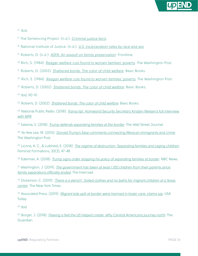

16. Ibid.

- 17. The Sentencing Project. (n.d.). *[Criminal justice facts](https://www.sentencingproject.org/criminal-justice-facts/)*.
- 18. National Institute of Justice. (n.d.). *[U.S. incarceration rates by race and sex](https://nij.ojp.gov/media/image/19511)*.
- 19. Roberts, D. (n.d.). *[ASFA: An assault on family preservation](https://www.pbs.org/wgbh/pages/frontline/shows/fostercare/inside/roberts.html)*. Frontline.
- <sup>20</sup> Rich, S. (1984). [Reagan welfare cuts found to worsen families' povert](https://www.washingtonpost.com/archive/politics/1984/07/29/reagan-welfare-cuts-found-to-worsen-families-poverty/077278f9-a875-4791-9c34-d1cf3cd148b5/)y. The Washington Post.
- 21. Roberts, D. (2002). [Shattered bonds: The color of child welfare](https://www.hachettebookgroup.com/titles/dorothy-roberts/shattered-bonds/9780465070596/). Basic Books.
- 22. Rich, S. (1984). *[Reagan welfare cuts found to worsen families' poverty](https://www.washingtonpost.com/archive/politics/1984/07/29/reagan-welfare-cuts-found-to-worsen-families-poverty/077278f9-a875-4791-9c34-d1cf3cd148b5/)*. The Washington Post.
- 23. Roberts, D. (2002). *[Shattered bonds: The color of child welfare](https://www.hachettebookgroup.com/titles/dorothy-roberts/shattered-bonds/9780465070596/)*. Basic Books.

24. Ibid, 90-91.

25. Roberts, D. (2002). *[Shattered bonds: The color of child welfare](https://www.hachettebookgroup.com/titles/dorothy-roberts/shattered-bonds/9780465070596/)*. Basic Books.

26. National Public Radio. (2018). *[Transcript: Homeland Security Secretary Kirstjen Nielsen's full interview](https://news.wosu.org/news-partners/2018-05-10/transcript-homeland-security-secretary-kirstjen-nielsens-full-interview-with-npr#stream/0)  [with NPR](https://news.wosu.org/news-partners/2018-05-10/transcript-homeland-security-secretary-kirstjen-nielsens-full-interview-with-npr#stream/0)*.

27. Salama, V. (2018). *[Trump defends separating families at the border](https://www.wsj.com/articles/trump-defends-separating-families-at-the-border-1539464658)*. The Wall Street Journal.

28. Ye Hee Lee, M. (2015). *[Donald Trump's false comments connecting Mexican immigrants and crime](https://www.washingtonpost.com/news/fact-checker/wp/2015/07/08/donald-trumps-false-comments-connecting-mexican-immigrants-and-crime/)*. The Washington Post.

29. Licona, A. C., & Luibhéid, E. (2018). *[The regime of destruction: Separating families and caging children](https://muse.jhu.edu/article/705524)*. Feminist Formations, 30(3), 47-48.

30. Edelman, A. (2018). *[Trump signs order stopping his policy of separating families at border](https://www.nbcnews.com/politics/immigration/trump-says-he-ll-sign-order-stopping-separation-families-border-n885061)*. NBC News.

31. Washington, J. (2019). *[The government has taken at least 1,100 children from their parents since](https://theintercept.com/2019/12/09/family-separation-policy-lawsuit/)  [family separations officially ended](https://theintercept.com/2019/12/09/family-separation-policy-lawsuit/)*. The Intercept.

32. Dickerson, C. (2019). *['There is a stench': Soiled clothes and no baths for migrant children at a Texas](https://www.nytimes.com/2019/06/21/us/migrant-children-border-soap.html)  [center](https://www.nytimes.com/2019/06/21/us/migrant-children-border-soap.html)*. The New York Times.

33. Associated Press. (2019). *[Migrant kids split at border were harmed in foster care, claims say](https://www.usatoday.com/story/news/politics/2019/08/16/immigrant-children-separated-border-abused-foster-care-claims/2027970001/)*. USA Today.

34. Ibid.

35. Borger, J. (2018). *[Fleeing a hell the US helped create: Why Central Americans journey north](https://www.theguardian.com/us-news/2018/dec/19/central-america-migrants-us-foreign-policy)*. The Guardian.